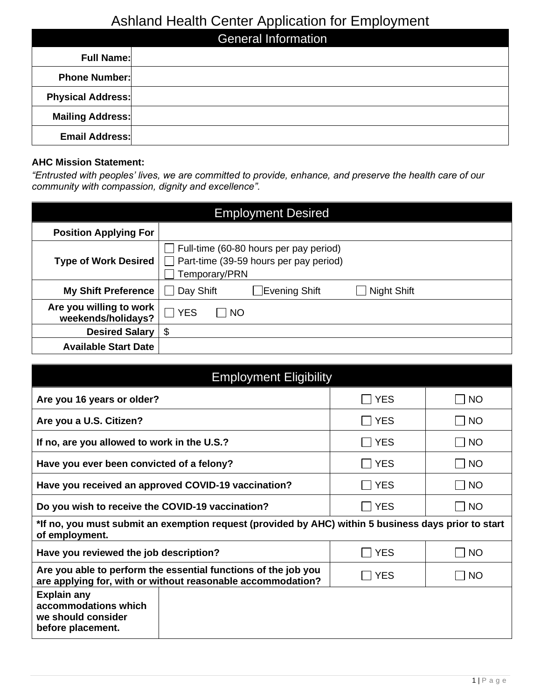### Ashland Health Center Application for Employment

|                            | — <b>.</b> 1 |  |
|----------------------------|--------------|--|
| <b>General Information</b> |              |  |
| <b>Full Name:</b>          |              |  |
| <b>Phone Number:</b>       |              |  |
| <b>Physical Address:</b>   |              |  |
| <b>Mailing Address:</b>    |              |  |
| <b>Email Address:</b>      |              |  |

#### **AHC Mission Statement:**

*"Entrusted with peoples' lives, we are committed to provide, enhance, and preserve the health care of our community with compassion, dignity and excellence".*

| <b>Employment Desired</b>                     |                                                                                                   |                |             |  |
|-----------------------------------------------|---------------------------------------------------------------------------------------------------|----------------|-------------|--|
| <b>Position Applying For</b>                  |                                                                                                   |                |             |  |
| <b>Type of Work Desired</b>                   | Full-time (60-80 hours per pay period)<br>Part-time (39-59 hours per pay period)<br>Temporary/PRN |                |             |  |
| <b>My Shift Preference</b>                    | Day Shift                                                                                         | ∏Evening Shift | Night Shift |  |
| Are you willing to work<br>weekends/holidays? | $\Box$ YES<br>    NO                                                                              |                |             |  |
| <b>Desired Salary</b>                         | \$                                                                                                |                |             |  |
| <b>Available Start Date</b>                   |                                                                                                   |                |             |  |

| <b>Employment Eligibility</b>                                                                                                 |              |                             |  |  |
|-------------------------------------------------------------------------------------------------------------------------------|--------------|-----------------------------|--|--|
| Are you 16 years or older?                                                                                                    | <b>YES</b>   | NO                          |  |  |
| Are you a U.S. Citizen?                                                                                                       | $\sqcap$ YES | $\Box$ NO                   |  |  |
| If no, are you allowed to work in the U.S.?                                                                                   | <b>YES</b>   | $\Box$ NO                   |  |  |
| Have you ever been convicted of a felony?                                                                                     | <b>YES</b>   | $\Box$ No                   |  |  |
| Have you received an approved COVID-19 vaccination?                                                                           | <b>YES</b>   | $\vert$ $\vert$ NO          |  |  |
| Do you wish to receive the COVID-19 vaccination?                                                                              | <b>IYES</b>  | NO                          |  |  |
| *If no, you must submit an exemption request (provided by AHC) within 5 business days prior to start<br>of employment.        |              |                             |  |  |
| Have you reviewed the job description?                                                                                        | <b>YES</b>   | $\Box$ NO                   |  |  |
| Are you able to perform the essential functions of the job you<br>are applying for, with or without reasonable accommodation? | <b>YES</b>   | $\overline{\phantom{a}}$ NO |  |  |
| <b>Explain any</b><br>accommodations which<br>we should consider<br>before placement.                                         |              |                             |  |  |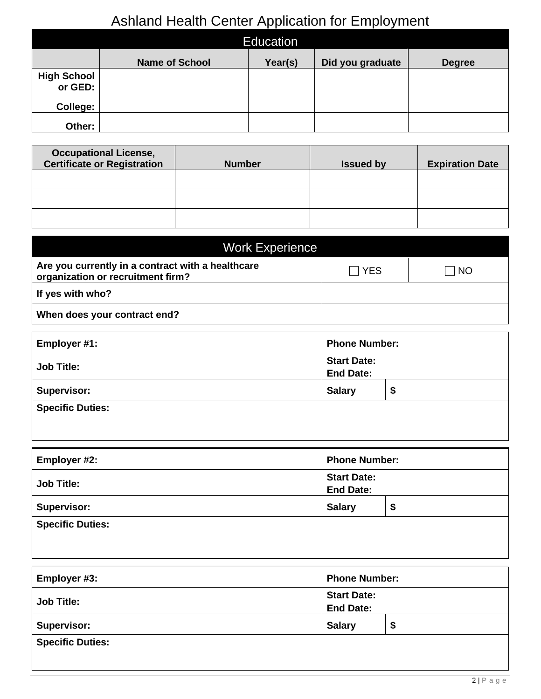# Ashland Health Center Application for Employment

|                               |                       | <b>Education</b> |                  |               |
|-------------------------------|-----------------------|------------------|------------------|---------------|
|                               | <b>Name of School</b> | Year(s)          | Did you graduate | <b>Degree</b> |
| <b>High School</b><br>or GED: |                       |                  |                  |               |
| College:                      |                       |                  |                  |               |
| Other:                        |                       |                  |                  |               |

| <b>Occupational License,</b><br><b>Certificate or Registration</b> | <b>Number</b> | <b>Issued by</b> | <b>Expiration Date</b> |
|--------------------------------------------------------------------|---------------|------------------|------------------------|
|                                                                    |               |                  |                        |
|                                                                    |               |                  |                        |
|                                                                    |               |                  |                        |

| <b>Work Experience</b>                                                                 |       |           |
|----------------------------------------------------------------------------------------|-------|-----------|
| Are you currently in a contract with a healthcare<br>organization or recruitment firm? | ∏ YES | <b>NO</b> |
| If yes with who?                                                                       |       |           |
| When does your contract end?                                                           |       |           |

| Employer #1:            | <b>Phone Number:</b>                   |    |
|-------------------------|----------------------------------------|----|
| <b>Job Title:</b>       | <b>Start Date:</b><br><b>End Date:</b> |    |
| <b>Supervisor:</b>      | <b>Salary</b>                          | \$ |
| <b>Specific Duties:</b> |                                        |    |

| Employer #2:            | <b>Phone Number:</b> |    |
|-------------------------|----------------------|----|
|                         | <b>Start Date:</b>   |    |
| <b>Job Title:</b>       | <b>End Date:</b>     |    |
| <b>Supervisor:</b>      | <b>Salary</b>        | \$ |
| <b>Specific Duties:</b> |                      |    |
|                         |                      |    |

| Employer #3:            | <b>Phone Number:</b>                   |      |
|-------------------------|----------------------------------------|------|
| <b>Job Title:</b>       | <b>Start Date:</b><br><b>End Date:</b> |      |
| <b>Supervisor:</b>      | <b>Salary</b>                          | - \$ |
| <b>Specific Duties:</b> |                                        |      |